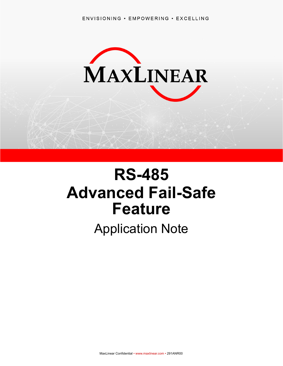

# **RS-485 Advanced Fail-Safe Feature**

Application Note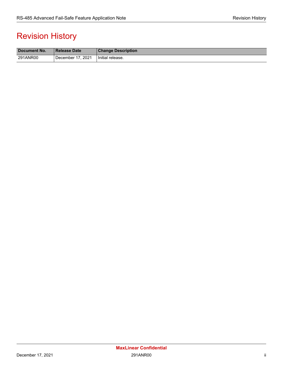# Revision History

| <b>Document No.</b> | <b>Release Date</b> | <b>Change Description</b> |
|---------------------|---------------------|---------------------------|
| 291ANR00            | 2021<br>December 17 | Initial release.          |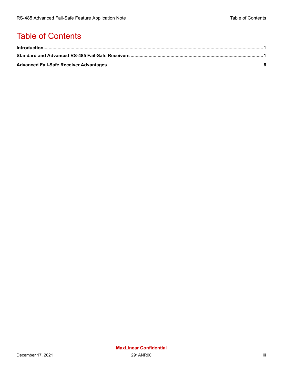## Table of Contents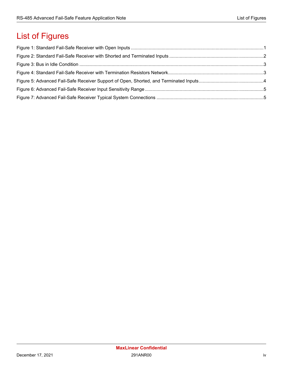# List of Figures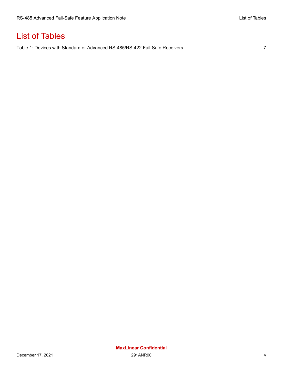#### List of Tables

[Table 1: Devices with Standard or Advanced RS-485/RS-422 Fail-Safe Receivers](#page-11-0)..............................................................7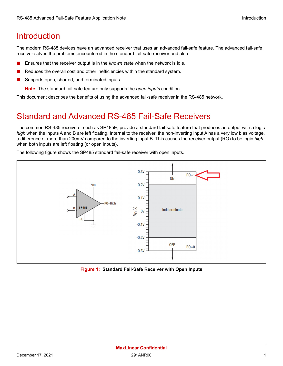#### <span id="page-5-0"></span>Introduction

The modern RS-485 devices have an advanced receiver that uses an advanced fail-safe feature. The advanced fail-safe receiver solves the problems encountered in the standard fail-safe receiver and also:

- Ensures that the receiver output is in the *known state* when the network is idle.
- Reduces the overall cost and other inefficiencies within the standard system.
- Supports open, shorted, and terminated inputs.

**Note:** The standard fail-safe feature only supports the *open inputs* condition.

This document describes the benefits of using the advanced fail-safe receiver in the RS-485 network.

## <span id="page-5-1"></span>Standard and Advanced RS-485 Fail-Safe Receivers

The common RS-485 receivers, such as SP485E, provide a standard fail-safe feature that produces an output with a logic *high* when the inputs A and B are left floating. Internal to the receiver, the non-inverting input A has a very low bias voltage, a difference of more than 200mV compared to the inverting input B. This causes the receiver output (RO) to be logic *high* when both inputs are left floating (or open inputs).

The following figure shows the SP485 standard fail-safe receiver with open inputs.



<span id="page-5-2"></span>**Figure 1: Standard Fail-Safe Receiver with Open Inputs**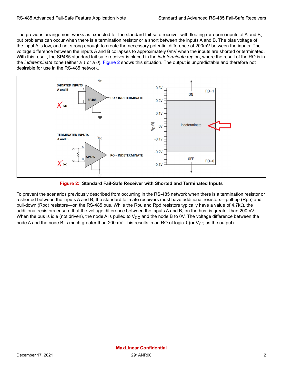The previous arrangement works as expected for the standard fail-safe receiver with floating (or open) inputs of A and B, but problems can occur when there is a termination resistor or a short between the inputs A and B. The bias voltage of the input A is low, and not strong enough to create the necessary potential difference of 200mV between the inputs. The voltage difference between the inputs A and B collapses to approximately 0mV when the inputs are shorted or terminated. With this result, the SP485 standard fail-safe receiver is placed in the *indeterminate* region, where the result of the RO is in the *indeterminate* zone (either a *1* or a *0*). [Figure 2](#page-6-0) shows this situation. The output is unpredictable and therefore not desirable for use in the RS-485 network.



**Figure 2: Standard Fail-Safe Receiver with Shorted and Terminated Inputs**

<span id="page-6-0"></span>To prevent the scenarios previously described from occurring in the RS-485 network when there is a termination resistor or a shorted between the inputs A and B, the standard fail-safe receivers must have additional resistors—pull-up (Rpu) and pull-down (Rpd) resistors—on the RS-485 bus. While the Rpu and Rpd resistors typically have a value of 4.7k $\Omega$ , the additional resistors ensure that the voltage difference between the inputs A and B, on the bus, is greater than 200mV. When the bus is idle (not driven), the node A is pulled to  $V_{CC}$  and the node B to 0V. The voltage difference between the node A and the node B is much greater than 200mV. This results in an RO of logic 1 (or V<sub>CC</sub> as the output).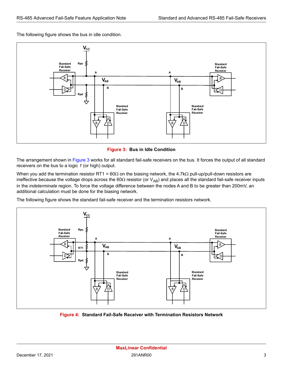The following figure shows the bus in idle condition.



**Figure 3: Bus in Idle Condition**

<span id="page-7-0"></span>The arrangement shown in [Figure 3](#page-7-0) works for all standard fail-safe receivers on the bus. It forces the output of all standard receivers on the bus to a logic *1* (or high) output.

When you add the termination resistor RT1 =  $60\Omega$  on the biasing network, the 4.7k $\Omega$  pull-up/pull-down resistors are ineffective because the voltage drops across the 60 $\Omega$  resistor (or  $V_{AB}$ ) and places all the standard fail-safe receiver inputs in the *indeterminate* region. To force the voltage difference between the nodes A and B to be greater than 200mV, an additional calculation must be done for the biasing network.

The following figure shows the standard fail-safe receiver and the termination resistors network.



<span id="page-7-1"></span>**Figure 4: Standard Fail-Safe Receiver with Termination Resistors Network**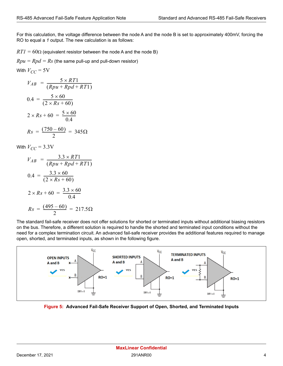For this calculation, the voltage difference between the node A and the node B is set to approximately 400mV, forcing the RO to equal a *1* output. The new calculation is as follows:

 $RTI = 60\Omega$  (equivalent resistor between the node A and the node B)  $Rpu = Rpd = Rs$  (the same pull-up and pull-down resistor)

With 
$$
V_{CC} = 5V
$$

$$
V_{AB} = \frac{5 \times RT1}{(Rpu + Rpd + RT1)}
$$
  
\n
$$
0.4 = \frac{5 \times 60}{(2 \times Rs + 60)}
$$
  
\n
$$
2 \times Rs + 60 = \frac{5 \times 60}{0.4}
$$
  
\n
$$
Rs = \frac{(750 - 60)}{2} = 345 \Omega
$$

With  $V_{CC}$  = 3.3V

$$
V_{AB} = \frac{3.3 \times RT1}{(Rpu + Rpd + RT1)}
$$
  
\n
$$
0.4 = \frac{3.3 \times 60}{(2 \times Rs + 60)}
$$
  
\n
$$
2 \times Rs + 60 = \frac{3.3 \times 60}{0.4}
$$
  
\n
$$
Rs = \frac{(495 - 60)}{2} = 217.5\Omega
$$

The standard fail-safe receiver does not offer solutions for shorted or terminated inputs without additional biasing resistors on the bus. Therefore, a different solution is required to handle the shorted and terminated input conditions without the need for a complex termination circuit. An advanced fail-safe receiver provides the additional features required to manage open, shorted, and terminated inputs, as shown in the following figure.



<span id="page-8-0"></span>**Figure 5: Advanced Fail-Safe Receiver Support of Open, Shorted, and Terminated Inputs**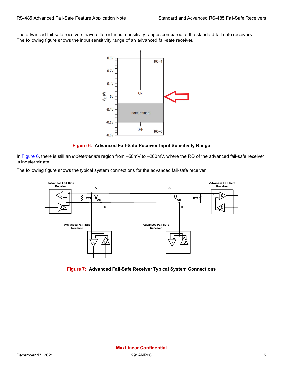The advanced fail-safe receivers have different input sensitivity ranges compared to the standard fail-safe receivers. The following figure shows the input sensitivity range of an advanced fail-safe receiver.



**Figure 6: Advanced Fail-Safe Receiver Input Sensitivity Range** 

<span id="page-9-0"></span>In [Figure 6,](#page-9-0) there is still an *indeterminate* region from –50mV to –200mV, where the RO of the advanced fail-safe receiver is indeterminate.

The following figure shows the typical system connections for the advanced fail-safe receiver.



<span id="page-9-1"></span>**Figure 7: Advanced Fail-Safe Receiver Typical System Connections**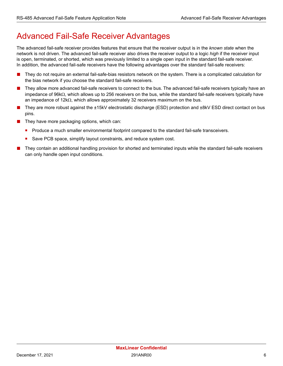## <span id="page-10-0"></span>Advanced Fail-Safe Receiver Advantages

The advanced fail-safe receiver provides features that ensure that the receiver output is in the *known state* when the network is not driven. The advanced fail-safe receiver also drives the receiver output to a logic *high* if the receiver input is open, terminated, or shorted, which was previously limited to a single open input in the standard fail-safe receiver. In addition, the advanced fail-safe receivers have the following advantages over the standard fail-safe receivers:

- They do not require an external fail-safe-bias resistors network on the system. There is a complicated calculation for the bias network if you choose the standard fail-safe receivers.
- They allow more advanced fail-safe receivers to connect to the bus. The advanced fail-safe receivers typically have an impedance of  $96k\Omega$ , which allows up to 256 receivers on the bus, while the standard fail-safe receivers typically have an impedance of  $12k\Omega$ , which allows approximately 32 receivers maximum on the bus.
- They are more robust against the ±15kV electrostatic discharge (ESD) protection and ±8kV ESD direct contact on bus pins.
- They have more packaging options, which can:
	- Produce a much smaller environmental footprint compared to the standard fail-safe transceivers.
	- Save PCB space, simplify layout constraints, and reduce system cost.
- They contain an additional handling provision for shorted and terminated inputs while the standard fail-safe receivers can only handle open input conditions.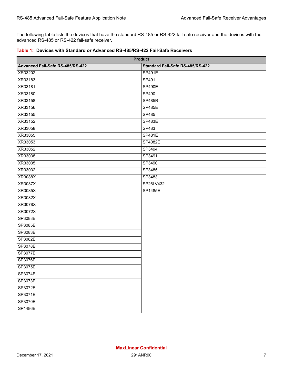The following table lists the devices that have the standard RS-485 or RS-422 fail-safe receiver and the devices with the advanced RS-485 or RS-422 fail-safe receiver.

<span id="page-11-0"></span>

| <b>Product</b>                   |                                  |  |  |  |
|----------------------------------|----------------------------------|--|--|--|
| Advanced Fail-Safe RS-485/RS-422 | Standard Fail-Safe RS-485/RS-422 |  |  |  |
| XR33202                          | SP491E                           |  |  |  |
| XR33183                          | SP491                            |  |  |  |
| XR33181                          | <b>SP490E</b>                    |  |  |  |
| XR33180                          | SP490                            |  |  |  |
| XR33158                          | <b>SP485R</b>                    |  |  |  |
| XR33156                          | <b>SP485E</b>                    |  |  |  |
| XR33155                          | SP485                            |  |  |  |
| <b>XR33152</b>                   | SP483E                           |  |  |  |
| XR33058                          | SP483                            |  |  |  |
| XR33055                          | <b>SP481E</b>                    |  |  |  |
| XR33053                          | SP4082E                          |  |  |  |
| XR33052                          | SP3494                           |  |  |  |
| XR33038                          | SP3491                           |  |  |  |
| XR33035                          | SP3490                           |  |  |  |
| XR33032                          | SP3485                           |  |  |  |
| XR3088X                          | SP3483                           |  |  |  |
| XR3087X                          | SP26LV432                        |  |  |  |
| XR3085X                          | SP1485E                          |  |  |  |
| XR3082X                          |                                  |  |  |  |
| <b>XR3078X</b>                   |                                  |  |  |  |
| XR3072X                          |                                  |  |  |  |
| SP3088E                          |                                  |  |  |  |
| SP3085E                          |                                  |  |  |  |
| SP3083E                          |                                  |  |  |  |
| SP3082E                          |                                  |  |  |  |
| SP3078E                          |                                  |  |  |  |
| SP3077E                          |                                  |  |  |  |
| SP3076E                          |                                  |  |  |  |
| SP3075E                          |                                  |  |  |  |
| SP3074E                          |                                  |  |  |  |
| SP3073E                          |                                  |  |  |  |
| SP3072E                          |                                  |  |  |  |
| SP3071E                          |                                  |  |  |  |
| SP3070E                          |                                  |  |  |  |
| <b>SP1486E</b>                   |                                  |  |  |  |